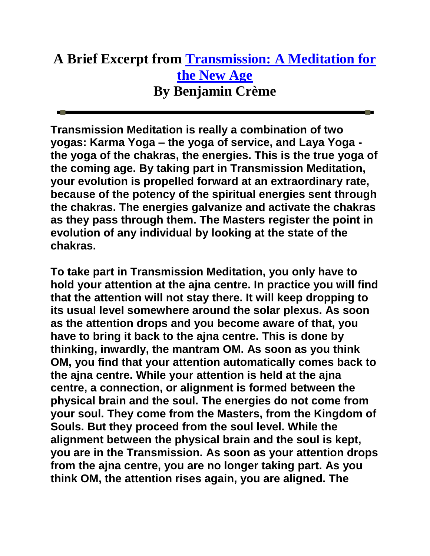## **A Brief Excerpt from [Transmission:](http://www.share-international.org/books/PDFs/BCreme_TransmissionAMeditationForTheNewAge_Jun06.pdf) A Meditation for [the New Age](http://www.share-international.org/books/PDFs/BCreme_TransmissionAMeditationForTheNewAge_Jun06.pdf) By Benjamin Crème**

**Transmission Meditation is really a combination of two yogas: Karma Yoga – the yoga of service, and Laya Yoga the yoga of the chakras, the energies. This is the true yoga of the coming age. By taking part in Transmission Meditation, your evolution is propelled forward at an extraordinary rate, because of the potency of the spiritual energies sent through the chakras. The energies galvanize and activate the chakras as they pass through them. The Masters register the point in evolution of any individual by looking at the state of the chakras.**

**To take part in Transmission Meditation, you only have to hold your attention at the ajna centre. In practice you will find that the attention will not stay there. It will keep dropping to its usual level somewhere around the solar plexus. As soon as the attention drops and you become aware of that, you have to bring it back to the ajna centre. This is done by thinking, inwardly, the mantram OM. As soon as you think OM, you find that your attention automatically comes back to the ajna centre. While your attention is held at the ajna centre, a connection, or alignment is formed between the physical brain and the soul. The energies do not come from your soul. They come from the Masters, from the Kingdom of Souls. But they proceed from the soul level. While the alignment between the physical brain and the soul is kept, you are in the Transmission. As soon as your attention drops from the ajna centre, you are no longer taking part. As you think OM, the attention rises again, you are aligned. The**